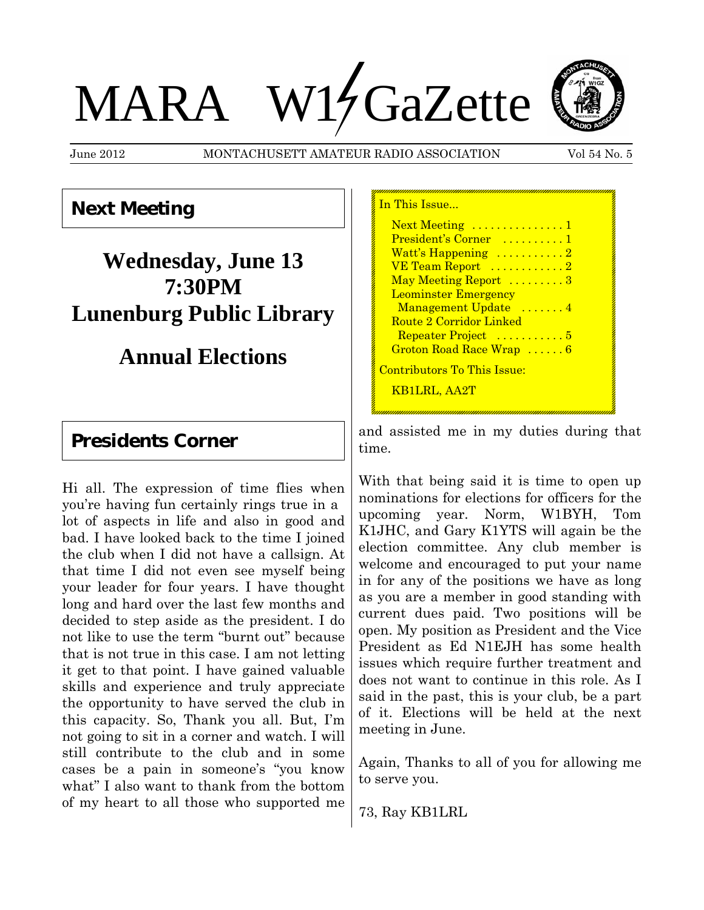# MARA W14 GaZette

June 2012 MONTACHUSETT AMATEUR RADIO ASSOCIATION Vol 54 No. 5



**Next Meeting**

## **Wednesday, June 13 7:30PM Lunenburg Public Library**

## **Annual Elections**

### **Presidents Corner**

Hi all. The expression of time flies when you're having fun certainly rings true in a lot of aspects in life and also in good and bad. I have looked back to the time I joined the club when I did not have a callsign. At that time I did not even see myself being your leader for four years. I have thought long and hard over the last few months and decided to step aside as the president. I do not like to use the term "burnt out" because that is not true in this case. I am not letting it get to that point. I have gained valuable skills and experience and truly appreciate the opportunity to have served the club in this capacity. So, Thank you all. But, I'm not going to sit in a corner and watch. I will still contribute to the club and in some cases be a pain in someone's "you know what" I also want to thank from the bottom of my heart to all those who supported me

| In This Issue               |
|-----------------------------|
| Next Meeting  1             |
| President's Corner  1       |
| Watt's Happening 2          |
| VE Team Report  2           |
| May Meeting Report 3        |
| <b>Leominster Emergency</b> |
| Management Update 4         |
| Route 2 Corridor Linked     |
| Repeater Project  5         |
| Groton Road Race Wrap  6    |
| Contributors To This Issue: |
| <b>KB1LRL, AA2T</b>         |
|                             |

and assisted me in my duties during that time.

With that being said it is time to open up nominations for elections for officers for the upcoming year. Norm, W1BYH, Tom K1JHC, and Gary K1YTS will again be the election committee. Any club member is welcome and encouraged to put your name in for any of the positions we have as long as you are a member in good standing with current dues paid. Two positions will be open. My position as President and the Vice President as Ed N1EJH has some health issues which require further treatment and does not want to continue in this role. As I said in the past, this is your club, be a part of it. Elections will be held at the next meeting in June.

Again, Thanks to all of you for allowing me to serve you.

73, Ray KB1LRL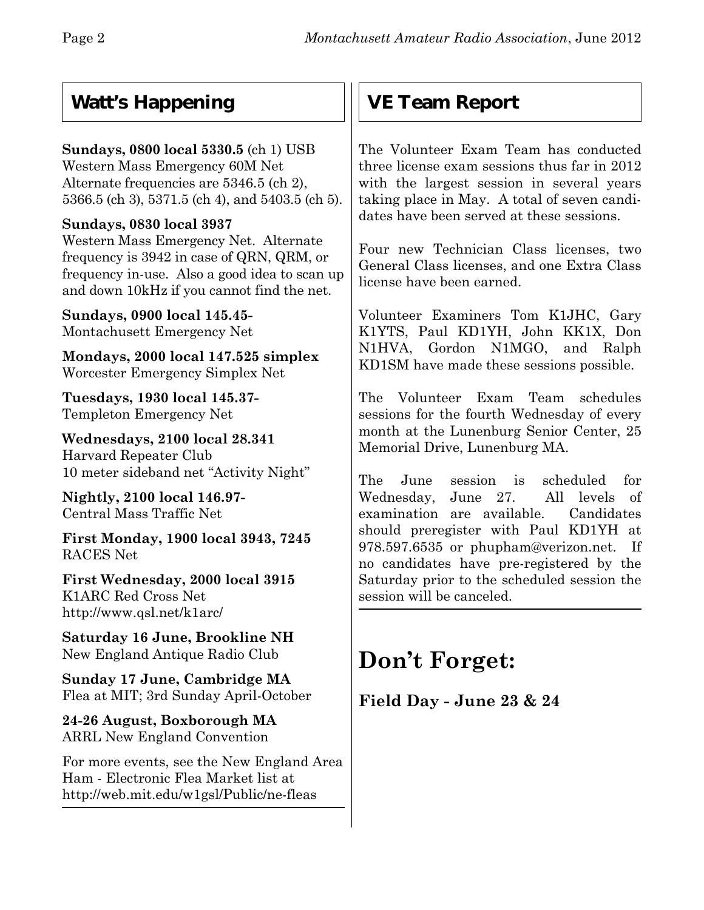## **Watt's Happening**

#### **Sundays, 0800 local 5330.5** (ch 1) USB Western Mass Emergency 60M Net Alternate frequencies are 5346.5 (ch 2), 5366.5 (ch 3), 5371.5 (ch 4), and 5403.5 (ch 5).

#### **Sundays, 0830 local 3937**

Western Mass Emergency Net. Alternate frequency is 3942 in case of QRN, QRM, or frequency in-use. Also a good idea to scan up and down 10kHz if you cannot find the net.

**Sundays, 0900 local 145.45-** Montachusett Emergency Net

**Mondays, 2000 local 147.525 simplex** Worcester Emergency Simplex Net

**Tuesdays, 1930 local 145.37-** Templeton Emergency Net

**Wednesdays, 2100 local 28.341** Harvard Repeater Club 10 meter sideband net "Activity Night"

**Nightly, 2100 local 146.97-** Central Mass Traffic Net

**First Monday, 1900 local 3943, 7245** RACES Net

**First Wednesday, 2000 local 3915** K1ARC Red Cross Net http://www.qsl.net/k1arc/

**Saturday 16 June, Brookline NH** New England Antique Radio Club

**Sunday 17 June, Cambridge MA** Flea at MIT; 3rd Sunday April-October

**24-26 August, Boxborough MA** ARRL New England Convention

For more events, see the New England Area Ham - Electronic Flea Market list at http://web.mit.edu/w1gsl/Public/ne-fleas

## **VE Team Report**

The Volunteer Exam Team has conducted three license exam sessions thus far in 2012 with the largest session in several years taking place in May. A total of seven candidates have been served at these sessions.

Four new Technician Class licenses, two General Class licenses, and one Extra Class license have been earned.

Volunteer Examiners Tom K1JHC, Gary K1YTS, Paul KD1YH, John KK1X, Don N1HVA, Gordon N1MGO, and Ralph KD1SM have made these sessions possible.

The Volunteer Exam Team schedules sessions for the fourth Wednesday of every month at the Lunenburg Senior Center, 25 Memorial Drive, Lunenburg MA.

The June session is scheduled for Wednesday, June 27. All levels of examination are available. Candidates should preregister with Paul KD1YH at 978.597.6535 or phupham@verizon.net.If no candidates have pre-registered by the Saturday prior to the scheduled session the session will be canceled.

## **Don't Forget:**

**Field Day - June 23 & 24**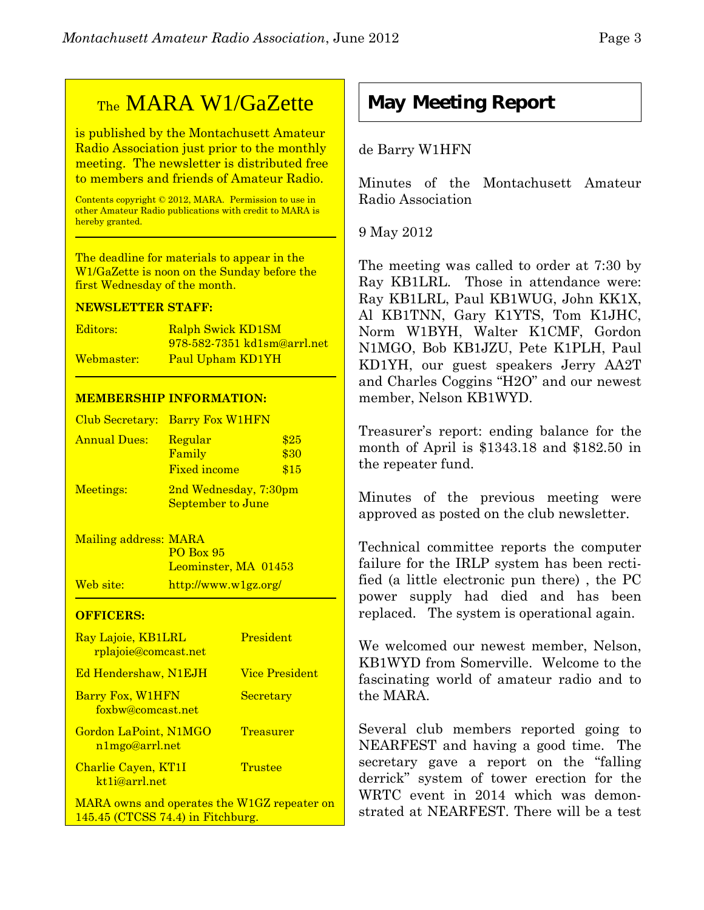## TheMARA W1/GaZette

is published by the Montachusett Amateur Radio Association just prior to the monthly meeting. The newsletter is distributed free to members and friends of Amateur Radio.

Contents copyright © 2012, MARA. Permission to use in other Amateur Radio publications with credit to MARA is hereby granted.

The deadline for materials to appear in the W1/GaZette is noon on the Sunday before the first Wednesday of the month.

#### **NEWSLETTER STAFF:**

| Editors:   | Ralph Swick KD1SM           |
|------------|-----------------------------|
|            | 978-582-7351 kd1sm@arrl.net |
| Webmaster: | Paul Upham KD1YH            |

#### **MEMBERSHIP INFORMATION:**

|                     | Club Secretary: Barry Fox W1HFN                   |                      |
|---------------------|---------------------------------------------------|----------------------|
| <b>Annual Dues:</b> | Regular<br>Family<br><b>Fixed income</b>          | \$25<br>\$30<br>\$15 |
| Meetings:           | 2nd Wednesday, 7:30pm<br><b>September to June</b> |                      |

Mailing address: MARA PO Box 95 Leominster, MA 01453 Web site: http://www.w1gz.org/

#### **OFFICERS:**

| Ray Lajoie, KB1LRL<br>rplajoie@comcast.net        | President             |
|---------------------------------------------------|-----------------------|
| <b>Ed Hendershaw, N1EJH</b>                       | <b>Vice President</b> |
| Barry Fox, W1HFN<br>foxbw@comcast.net             | Secretary             |
| Gordon LaPoint, N1MGO<br>n1mgo@arrl.net           | <b>Treasurer</b>      |
| Charlie Cayen, KT1I<br>kt <sub>1</sub> i@arrl.net | Trustee               |
| MARA owns and operates the W1GZ repeater on       |                       |

145.45 (CTCSS 74.4) in Fitchburg.

## **May Meeting Report**

#### de Barry W1HFN

Minutes of the Montachusett Amateur Radio Association

#### 9 May 2012

The meeting was called to order at 7:30 by Ray KB1LRL. Those in attendance were: Ray KB1LRL, Paul KB1WUG, John KK1X, Al KB1TNN, Gary K1YTS, Tom K1JHC, Norm W1BYH, Walter K1CMF, Gordon N1MGO, Bob KB1JZU, Pete K1PLH, Paul KD1YH, our guest speakers Jerry AA2T and Charles Coggins "H2O" and our newest member, Nelson KB1WYD.

Treasurer's report: ending balance for the month of April is \$1343.18 and \$182.50 in the repeater fund.

Minutes of the previous meeting were approved as posted on the club newsletter.

Technical committee reports the computer failure for the IRLP system has been rectified (a little electronic pun there) , the PC power supply had died and has been replaced. The system is operational again.

We welcomed our newest member, Nelson, KB1WYD from Somerville. Welcome to the fascinating world of amateur radio and to the MARA.

Several club members reported going to NEARFEST and having a good time. The secretary gave a report on the "falling derrick" system of tower erection for the WRTC event in 2014 which was demonstrated at NEARFEST. There will be a test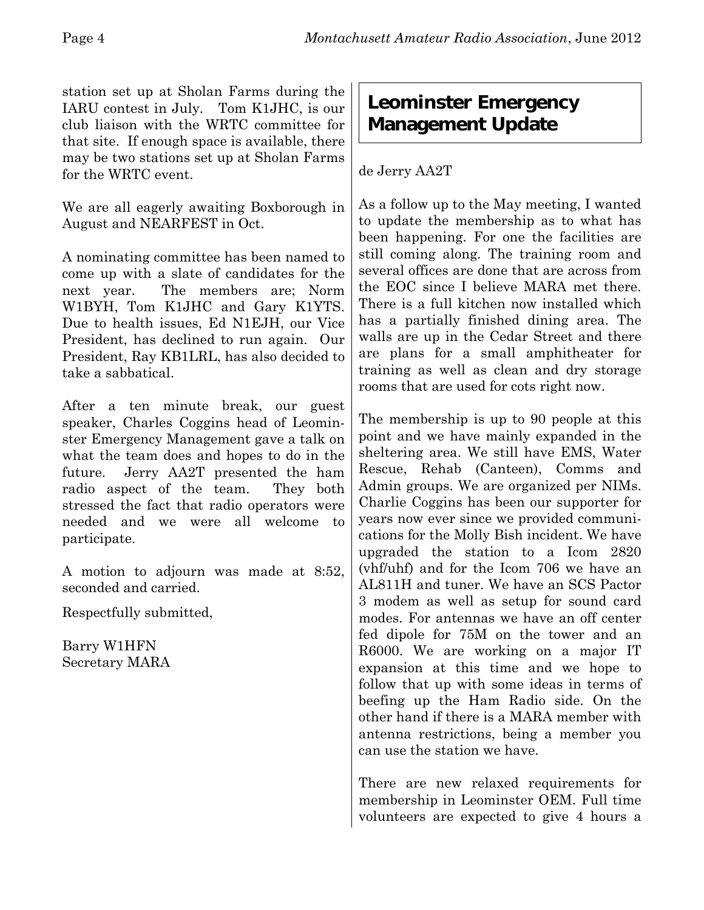station set up at Sholan Farms during the IARU contest in July. Tom K1JHC, is our club liaison with the WRTC committee for that site. If enough space is available, there may be two stations set up at Sholan Farms for the WRTC event.

We are all eagerly awaiting Boxborough in August and NEARFEST in Oct.

A nominating committee has been named to come up with a slate of candidates for the next year. The members are; Norm W1BYH, Tom K1JHC and Gary K1YTS. Due to health issues, Ed N1EJH, our Vice President, has declined to run again. Our President, Ray KB1LRL, has also decided to take a sabbatical.

After a ten minute break, our guest speaker, Charles Coggins head of Leominster Emergency Management gave a talk on what the team does and hopes to do in the future. Jerry AA2T presented the ham radio aspect of the team. They both stressed the fact that radio operators were needed and we were all welcome to participate.

A motion to adjourn was made at 8:52, seconded and carried.

Respectfully submitted,

Barry W1HFN Secretary MARA

## **Leominster Emergency Management Update**

#### de Jerry AA2T

As a follow up to the May meeting, I wanted to update the membership as to what has been happening. For one the facilities are still coming along. The training room and several offices are done that are across from the EOC since I believe MARA met there. There is a full kitchen now installed which has a partially finished dining area. The walls are up in the Cedar Street and there are plans for a small amphitheater for training as well as clean and dry storage rooms that are used for cots right now.

The membership is up to 90 people at this point and we have mainly expanded in the sheltering area. We still have EMS, Water Rescue, Rehab (Canteen), Comms and Admin groups. We are organized per NIMs. Charlie Coggins has been our supporter for years now ever since we provided communications for the Molly Bish incident. We have upgraded the station to a Icom 2820 (vhf/uhf) and for the Icom 706 we have an AL811H and tuner. We have an SCS Pactor 3 modem as well as setup for sound card modes. For antennas we have an off center fed dipole for 75M on the tower and an R6000. We are working on a major IT expansion at this time and we hope to follow that up with some ideas in terms of beefing up the Ham Radio side. On the other hand if there is a MARA member with antenna restrictions, being a member you can use the station we have.

There are new relaxed requirements for membership in Leominster OEM. Full time volunteers are expected to give 4 hours a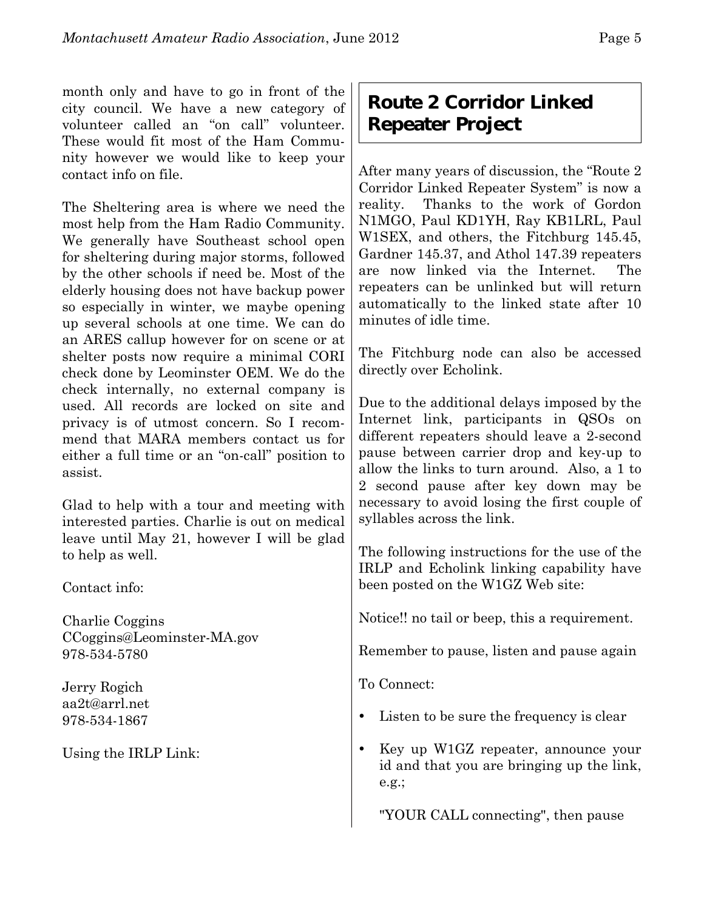month only and have to go in front of the city council. We have a new category of volunteer called an "on call" volunteer. These would fit most of the Ham Community however we would like to keep your contact info on file.

The Sheltering area is where we need the most help from the Ham Radio Community. We generally have Southeast school open for sheltering during major storms, followed by the other schools if need be. Most of the elderly housing does not have backup power so especially in winter, we maybe opening up several schools at one time. We can do an ARES callup however for on scene or at shelter posts now require a minimal CORI check done by Leominster OEM. We do the check internally, no external company is used. All records are locked on site and privacy is of utmost concern. So I recommend that MARA members contact us for either a full time or an "on-call" position to assist.

Glad to help with a tour and meeting with interested parties. Charlie is out on medical leave until May 21, however I will be glad to help as well.

Contact info:

Charlie Coggins CCoggins@Leominster-MA.gov 978-534-5780

Jerry Rogich aa2t@arrl.net 978-534-1867

Using the IRLP Link:

## **Route 2 Corridor Linked Repeater Project**

After many years of discussion, the "Route 2 Corridor Linked Repeater System" is now a reality. Thanks to the work of Gordon N1MGO, Paul KD1YH, Ray KB1LRL, Paul W1SEX, and others, the Fitchburg 145.45, Gardner 145.37, and Athol 147.39 repeaters are now linked via the Internet. The repeaters can be unlinked but will return automatically to the linked state after 10 minutes of idle time.

The Fitchburg node can also be accessed directly over Echolink.

Due to the additional delays imposed by the Internet link, participants in QSOs on different repeaters should leave a 2-second pause between carrier drop and key-up to allow the links to turn around. Also, a 1 to 2 second pause after key down may be necessary to avoid losing the first couple of syllables across the link.

The following instructions for the use of the IRLP and Echolink linking capability have been posted on the W1GZ Web site:

Notice!! no tail or beep, this a requirement.

Remember to pause, listen and pause again

To Connect:

- Listen to be sure the frequency is clear
- Key up W1GZ repeater, announce your id and that you are bringing up the link, e.g.;

"YOUR CALL connecting", then pause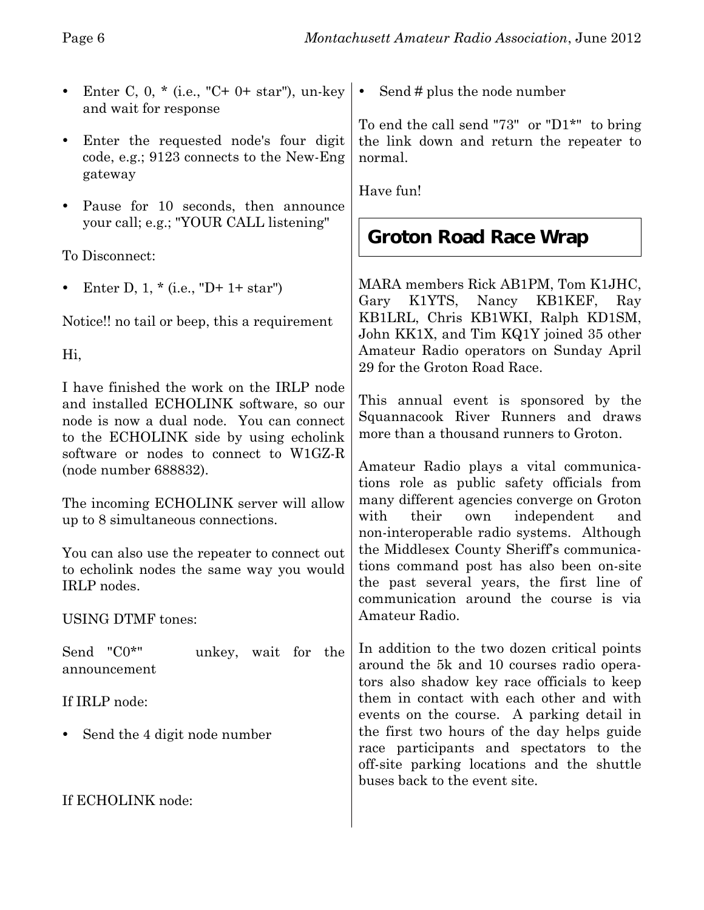- Enter C, 0,  $*(i.e., "C+ 0+ star"), un-key \cdot$ and wait for response
- Enter the requested node's four digit code, e.g.; 9123 connects to the New-Eng gateway
- Pause for 10 seconds, then announce your call; e.g.; "YOUR CALL listening"

To Disconnect:

Enter D,  $1, *$  (i.e., "D+  $1+$  star")

Notice!! no tail or beep, this a requirement

Hi,

I have finished the work on the IRLP node and installed ECHOLINK software, so our node is now a dual node. You can connect to the ECHOLINK side by using echolink software or nodes to connect to W1GZ-R (node number 688832).

The incoming ECHOLINK server will allow up to 8 simultaneous connections.

You can also use the repeater to connect out to echolink nodes the same way you would IRLP nodes.

USING DTMF tones:

Send "C0\*" unkey, wait for the announcement

If IRLP node:

• Send the 4 digit node number

If ECHOLINK node:

Send # plus the node number

To end the call send "73" or "D1\*" to bring the link down and return the repeater to normal.

Have fun!

## **Groton Road Race Wrap**

MARA members Rick AB1PM, Tom K1JHC, Gary K1YTS, Nancy KB1KEF, Ray KB1LRL, Chris KB1WKI, Ralph KD1SM, John KK1X, and Tim KQ1Y joined 35 other Amateur Radio operators on Sunday April 29 for the Groton Road Race.

This annual event is sponsored by the Squannacook River Runners and draws more than a thousand runners to Groton.

Amateur Radio plays a vital communications role as public safety officials from many different agencies converge on Groton with their own independent and non-interoperable radio systems. Although the Middlesex County Sheriff's communications command post has also been on-site the past several years, the first line of communication around the course is via Amateur Radio.

In addition to the two dozen critical points around the 5k and 10 courses radio operators also shadow key race officials to keep them in contact with each other and with events on the course. A parking detail in the first two hours of the day helps guide race participants and spectators to the off-site parking locations and the shuttle buses back to the event site.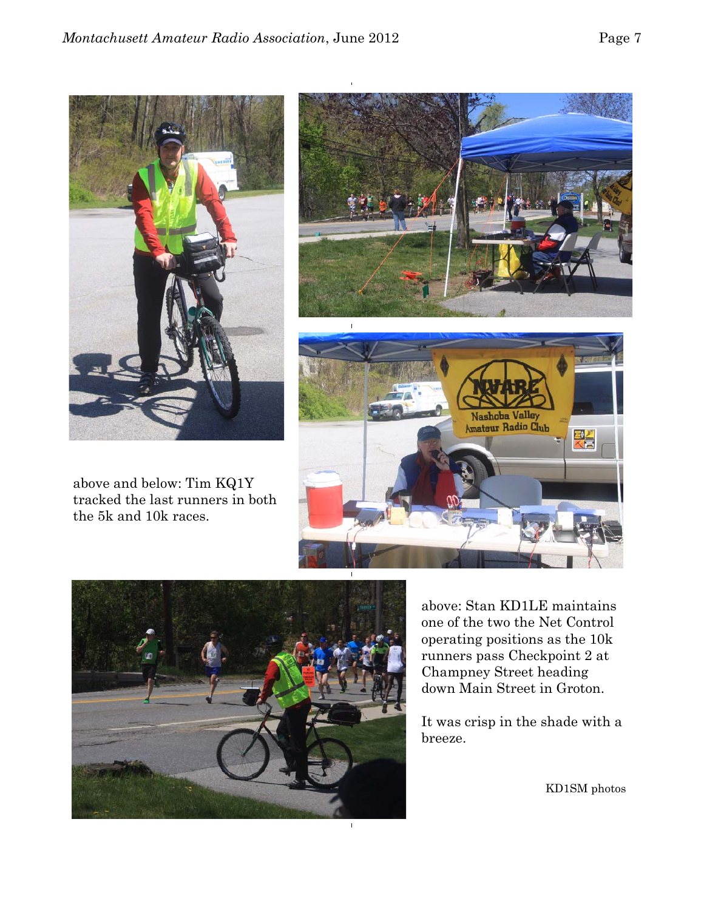

above and below: Tim KQ1Y tracked the last runners in both the 5k and 10k races.







above: Stan KD1LE maintains one of the two the Net Control operating positions as the 10k runners pass Checkpoint 2 at Champney Street heading down Main Street in Groton.

It was crisp in the shade with a breeze.

KD1SM photos